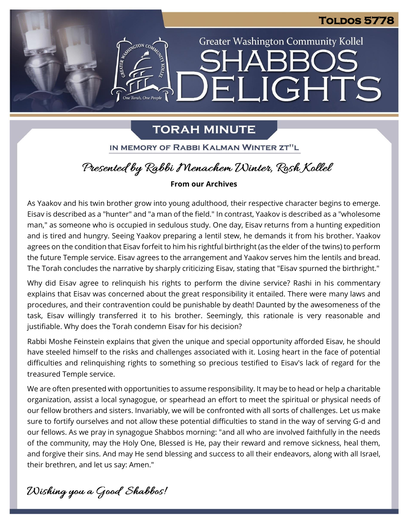# **Toldos 5778**

**Greater Washington Community Kollel** 

ELIGHTS

# **TORAH MINUTE**

One Torah, One People

IN MEMORY OF RABBI KALMAN WINTER ZT"L

# Presented by Rabbi Menachem Winter, Rosh Kollel

## **From our Archives**

As Yaakov and his twin brother grow into young adulthood, their respective character begins to emerge. Eisav is described as a "hunter" and "a man of the field." In contrast, Yaakov is described as a "wholesome man," as someone who is occupied in sedulous study. One day, Eisav returns from a hunting expedition and is tired and hungry. Seeing Yaakov preparing a lentil stew, he demands it from his brother. Yaakov agrees on the condition that Eisav forfeit to him his rightful birthright (as the elder of the twins) to perform the future Temple service. Eisav agrees to the arrangement and Yaakov serves him the lentils and bread. The Torah concludes the narrative by sharply criticizing Eisav, stating that "Eisav spurned the birthright."

Why did Eisav agree to relinquish his rights to perform the divine service? Rashi in his commentary explains that Eisav was concerned about the great responsibility it entailed. There were many laws and procedures, and their contravention could be punishable by death! Daunted by the awesomeness of the task, Eisav willingly transferred it to his brother. Seemingly, this rationale is very reasonable and justifiable. Why does the Torah condemn Eisav for his decision?

Rabbi Moshe Feinstein explains that given the unique and special opportunity afforded Eisav, he should have steeled himself to the risks and challenges associated with it. Losing heart in the face of potential difficulties and relinquishing rights to something so precious testified to Eisav's lack of regard for the treasured Temple service.

We are often presented with opportunities to assume responsibility. It may be to head or help a charitable organization, assist a local synagogue, or spearhead an effort to meet the spiritual or physical needs of our fellow brothers and sisters. Invariably, we will be confronted with all sorts of challenges. Let us make sure to fortify ourselves and not allow these potential difficulties to stand in the way of serving G-d and our fellows. As we pray in synagogue Shabbos morning: "and all who are involved faithfully in the needs of the community, may the Holy One, Blessed is He, pay their reward and remove sickness, heal them, and forgive their sins. And may He send blessing and success to all their endeavors, along with all Israel, their brethren, and let us say: Amen."

Wishing you a Good Shabbos!